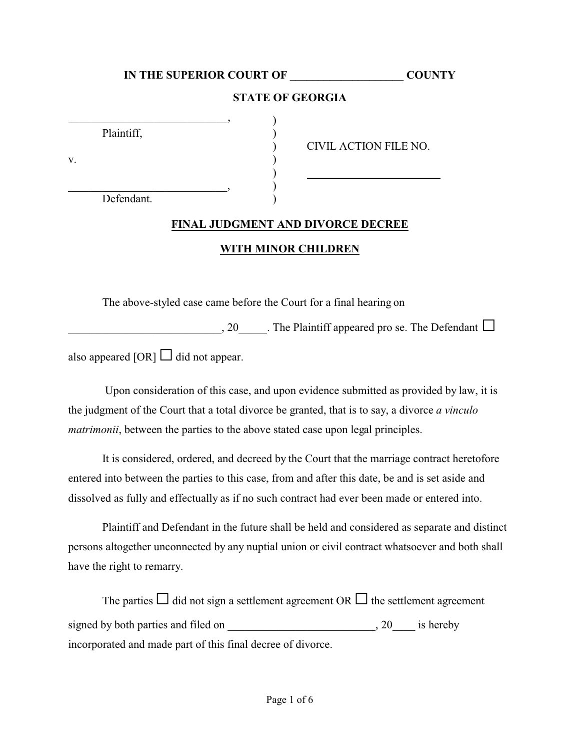# **IN THE SUPERIOR COURT OF \_\_\_\_\_\_\_\_\_\_\_\_\_\_\_\_\_\_\_\_ COUNTY**

#### **STATE OF GEORGIA**

)

| Plaintiff, |  |
|------------|--|

 $\mathbf v.$  )

 $\qquad \qquad \qquad \qquad \text{,} \qquad \qquad \text{)}$ Defendant.

) CIVIL ACTION FILE NO.

**FINAL JUDGMENT AND DIVORCE DECREE**

#### **WITH MINOR CHILDREN**

The above-styled case came before the Court for a final hearing on

 $\Box$ , 20  $\Box$ . The Plaintiff appeared pro se. The Defendant  $\Box$ 

also appeared [OR]  $\Box$  did not appear.

 Upon consideration of this case, and upon evidence submitted as provided by law, it is the judgment of the Court that a total divorce be granted, that is to say, a divorce *a vinculo matrimonii*, between the parties to the above stated case upon legal principles.

It is considered, ordered, and decreed by the Court that the marriage contract heretofore entered into between the parties to this case, from and after this date, be and is set aside and dissolved as fully and effectually as if no such contract had ever been made or entered into.

Plaintiff and Defendant in the future shall be held and considered as separate and distinct persons altogether unconnected by any nuptial union or civil contract whatsoever and both shall have the right to remarry.

The parties  $\Box$  did not sign a settlement agreement OR  $\Box$  the settlement agreement signed by both parties and filed on \_\_\_\_\_\_\_\_\_\_\_\_\_\_\_\_\_\_\_\_\_\_\_\_\_\_, 20\_\_\_\_ is hereby incorporated and made part of this final decree of divorce.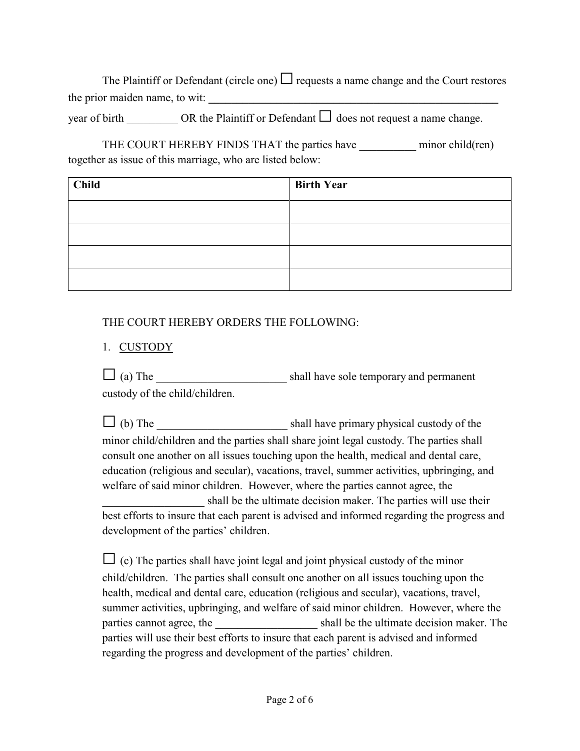The Plaintiff or Defendant (circle one)  $\Box$  requests a name change and the Court restores the prior maiden name, to wit: **\_\_\_\_\_\_\_\_\_\_\_\_\_\_\_\_\_\_\_\_\_\_\_\_\_\_\_\_\_\_\_\_\_\_\_\_\_\_\_\_\_\_\_\_\_\_\_\_\_\_\_**

year of birth \_\_\_\_\_\_\_\_\_\_ OR the Plaintiff or Defendant  $\Box$  does not request a name change.

THE COURT HEREBY FINDS THAT the parties have minor child(ren) together as issue of this marriage, who are listed below:

| <b>Child</b> | <b>Birth Year</b> |
|--------------|-------------------|
|              |                   |
|              |                   |
|              |                   |
|              |                   |

## THE COURT HEREBY ORDERS THE FOLLOWING:

# 1. CUSTODY

G (a) The \_\_\_\_\_\_\_\_\_\_\_\_\_\_\_\_\_\_\_\_\_\_\_ shall have sole temporary and permanent custody of the child/children.

 $\Box$  (b) The shall have primary physical custody of the minor child/children and the parties shall share joint legal custody. The parties shall consult one another on all issues touching upon the health, medical and dental care, education (religious and secular), vacations, travel, summer activities, upbringing, and welfare of said minor children. However, where the parties cannot agree, the shall be the ultimate decision maker. The parties will use their best efforts to insure that each parent is advised and informed regarding the progress and development of the parties' children.

 $\Box$  (c) The parties shall have joint legal and joint physical custody of the minor child/children. The parties shall consult one another on all issues touching upon the health, medical and dental care, education (religious and secular), vacations, travel, summer activities, upbringing, and welfare of said minor children. However, where the parties cannot agree, the shall be the ultimate decision maker. The parties will use their best efforts to insure that each parent is advised and informed regarding the progress and development of the parties' children.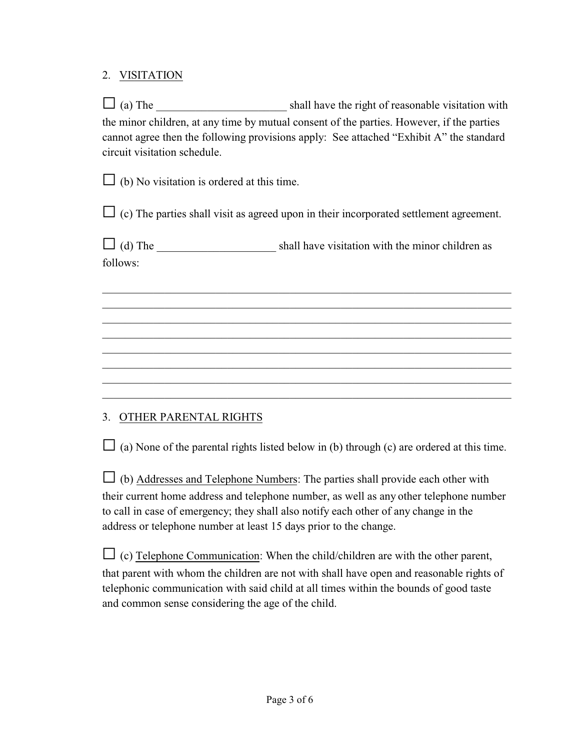## 2. VISITATION

 $\Box$  (a) The  $\Box$  shall have the right of reasonable visitation with the minor children, at any time by mutual consent of the parties. However, if the parties cannot agree then the following provisions apply: See attached "Exhibit A" the standard circuit visitation schedule.

 $\Box$  (b) No visitation is ordered at this time.

 $\Box$  (c) The parties shall visit as agreed upon in their incorporated settlement agreement.

 $\Box$  (d) The shall have visitation with the minor children as follows:

\_\_\_\_\_\_\_\_\_\_\_\_\_\_\_\_\_\_\_\_\_\_\_\_\_\_\_\_\_\_\_\_\_\_\_\_\_\_\_\_\_\_\_\_\_\_\_\_\_\_\_\_\_\_\_\_\_\_\_\_\_\_\_\_\_\_\_\_\_\_\_\_ \_\_\_\_\_\_\_\_\_\_\_\_\_\_\_\_\_\_\_\_\_\_\_\_\_\_\_\_\_\_\_\_\_\_\_\_\_\_\_\_\_\_\_\_\_\_\_\_\_\_\_\_\_\_\_\_\_\_\_\_\_\_\_\_\_\_\_\_\_\_\_\_ \_\_\_\_\_\_\_\_\_\_\_\_\_\_\_\_\_\_\_\_\_\_\_\_\_\_\_\_\_\_\_\_\_\_\_\_\_\_\_\_\_\_\_\_\_\_\_\_\_\_\_\_\_\_\_\_\_\_\_\_\_\_\_\_\_\_\_\_\_\_\_\_ \_\_\_\_\_\_\_\_\_\_\_\_\_\_\_\_\_\_\_\_\_\_\_\_\_\_\_\_\_\_\_\_\_\_\_\_\_\_\_\_\_\_\_\_\_\_\_\_\_\_\_\_\_\_\_\_\_\_\_\_\_\_\_\_\_\_\_\_\_\_\_\_ \_\_\_\_\_\_\_\_\_\_\_\_\_\_\_\_\_\_\_\_\_\_\_\_\_\_\_\_\_\_\_\_\_\_\_\_\_\_\_\_\_\_\_\_\_\_\_\_\_\_\_\_\_\_\_\_\_\_\_\_\_\_\_\_\_\_\_\_\_\_\_\_ \_\_\_\_\_\_\_\_\_\_\_\_\_\_\_\_\_\_\_\_\_\_\_\_\_\_\_\_\_\_\_\_\_\_\_\_\_\_\_\_\_\_\_\_\_\_\_\_\_\_\_\_\_\_\_\_\_\_\_\_\_\_\_\_\_\_\_\_\_\_\_\_ \_\_\_\_\_\_\_\_\_\_\_\_\_\_\_\_\_\_\_\_\_\_\_\_\_\_\_\_\_\_\_\_\_\_\_\_\_\_\_\_\_\_\_\_\_\_\_\_\_\_\_\_\_\_\_\_\_\_\_\_\_\_\_\_\_\_\_\_\_\_\_\_

## 3. OTHER PARENTAL RIGHTS

 $\Box$  (a) None of the parental rights listed below in (b) through (c) are ordered at this time.

 $\Box$  (b) Addresses and Telephone Numbers: The parties shall provide each other with their current home address and telephone number, as well as any other telephone number to call in case of emergency; they shall also notify each other of any change in the address or telephone number at least 15 days prior to the change.

 $\Box$  (c) Telephone Communication: When the child/children are with the other parent, that parent with whom the children are not with shall have open and reasonable rights of telephonic communication with said child at all times within the bounds of good taste and common sense considering the age of the child.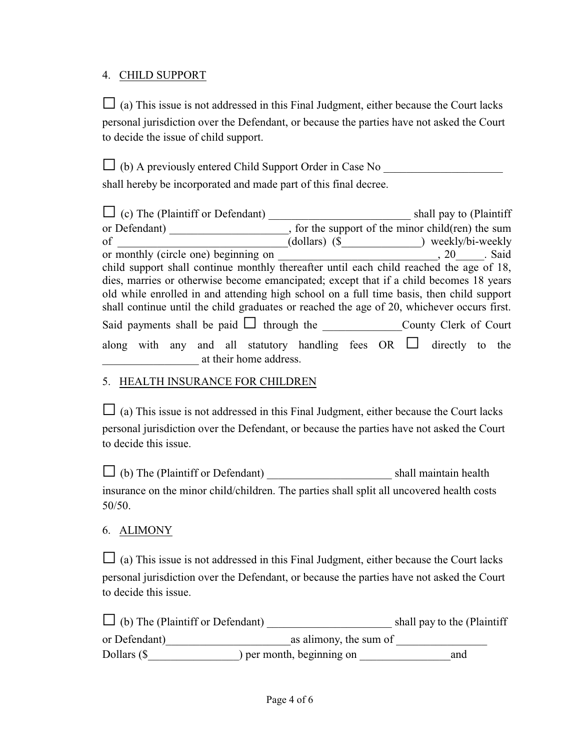### 4. CHILD SUPPORT

 $\Box$  (a) This issue is not addressed in this Final Judgment, either because the Court lacks personal jurisdiction over the Defendant, or because the parties have not asked the Court to decide the issue of child support.

G (b) A previously entered Child Support Order in Case No \_\_\_\_\_\_\_\_\_\_\_\_\_\_\_\_\_\_\_\_\_

shall hereby be incorporated and made part of this final decree.

| $\Box$ (c) The (Plaintiff or Defendant)        | shall pay to (Plaintiff                                                                    |  |
|------------------------------------------------|--------------------------------------------------------------------------------------------|--|
| or Defendant)                                  | , for the support of the minor child (ren) the sum                                         |  |
| $\sigma$                                       | (dollars) (\$ ) weekly/bi-weekly                                                           |  |
| or monthly (circle one) beginning on           | , 20 Said                                                                                  |  |
|                                                | child support shall continue monthly thereafter until each child reached the age of 18,    |  |
|                                                | dies, marries or otherwise become emancipated; except that if a child becomes 18 years     |  |
|                                                | old while enrolled in and attending high school on a full time basis, then child support   |  |
|                                                | shall continue until the child graduates or reached the age of 20, whichever occurs first. |  |
| Said payments shall be paid $\Box$ through the | County Clerk of Court                                                                      |  |
|                                                | along with any and all statutory handling fees OR L directly to the                        |  |
| at their home address.                         |                                                                                            |  |

## 5. HEALTH INSURANCE FOR CHILDREN

 $\Box$  (a) This issue is not addressed in this Final Judgment, either because the Court lacks personal jurisdiction over the Defendant, or because the parties have not asked the Court to decide this issue.

G (b) The (Plaintiff or Defendant) \_\_\_\_\_\_\_\_\_\_\_\_\_\_\_\_\_\_\_\_\_\_ shall maintain health insurance on the minor child/children. The parties shall split all uncovered health costs 50/50.

## 6. ALIMONY

 $\Box$  (a) This issue is not addressed in this Final Judgment, either because the Court lacks personal jurisdiction over the Defendant, or because the parties have not asked the Court to decide this issue.

| $\Box$ (b) The (Plaintiff or Defendant) |                           | shall pay to the (Plaintiff |
|-----------------------------------------|---------------------------|-----------------------------|
| or Defendant)                           | as alimony, the sum of    |                             |
| Dollars $(\$$                           | ) per month, beginning on | and                         |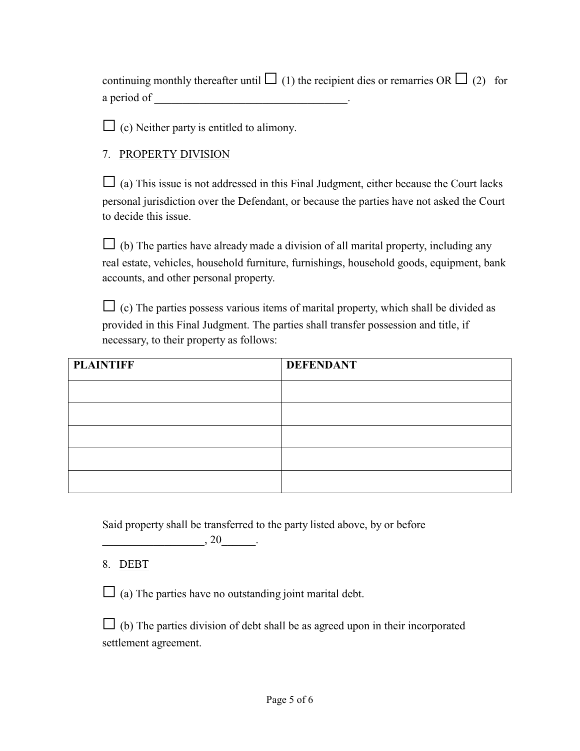| continuing monthly thereafter until $\Box$ (1) the recipient dies or remarries OR $\Box$ (2) for |  |
|--------------------------------------------------------------------------------------------------|--|
| a period of                                                                                      |  |

 $\Box$  (c) Neither party is entitled to alimony.

### 7. PROPERTY DIVISION

 $\Box$  (a) This issue is not addressed in this Final Judgment, either because the Court lacks personal jurisdiction over the Defendant, or because the parties have not asked the Court to decide this issue.

 $\Box$  (b) The parties have already made a division of all marital property, including any real estate, vehicles, household furniture, furnishings, household goods, equipment, bank accounts, and other personal property.

 $\Box$  (c) The parties possess various items of marital property, which shall be divided as provided in this Final Judgment. The parties shall transfer possession and title, if necessary, to their property as follows:

| <b>PLAINTIFF</b> | <b>DEFENDANT</b> |
|------------------|------------------|
|                  |                  |
|                  |                  |
|                  |                  |
|                  |                  |
|                  |                  |

Said property shall be transferred to the party listed above, by or before

8. DEBT

 $\Box$  (a) The parties have no outstanding joint marital debt.

 $, 20$   $.$ 

 $\Box$  (b) The parties division of debt shall be as agreed upon in their incorporated settlement agreement.